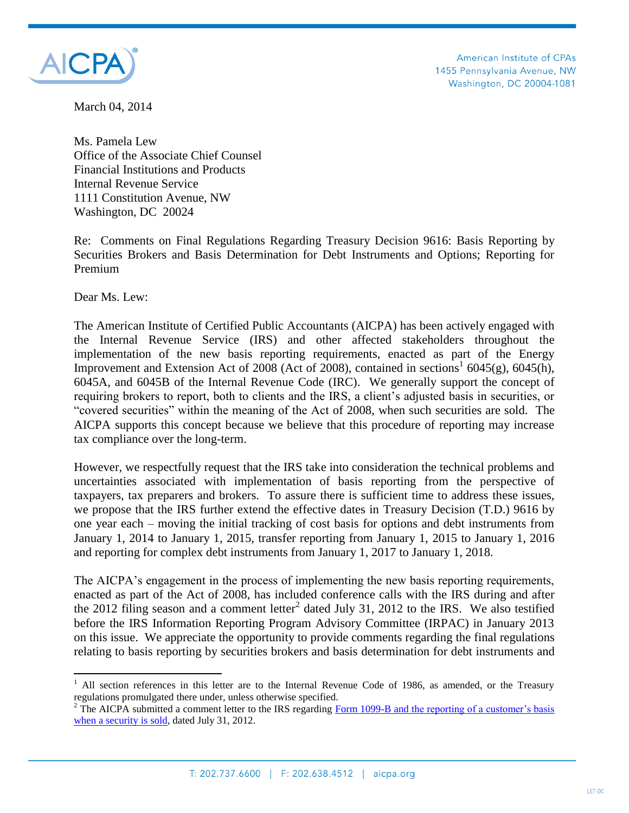

American Institute of CPAs 1455 Pennsylvania Avenue, NW Washington, DC 20004-1081

March 04, 2014

Ms. Pamela Lew Office of the Associate Chief Counsel Financial Institutions and Products Internal Revenue Service 1111 Constitution Avenue, NW Washington, DC 20024

Re: Comments on Final Regulations Regarding Treasury Decision 9616: Basis Reporting by Securities Brokers and Basis Determination for Debt Instruments and Options; Reporting for Premium

Dear Ms. Lew:

 $\overline{a}$ 

The American Institute of Certified Public Accountants (AICPA) has been actively engaged with the Internal Revenue Service (IRS) and other affected stakeholders throughout the implementation of the new basis reporting requirements, enacted as part of the Energy Improvement and Extension Act of 2008 (Act of 2008), contained in sections<sup>1</sup> 6045(g), 6045(h), 6045A, and 6045B of the Internal Revenue Code (IRC). We generally support the concept of requiring brokers to report, both to clients and the IRS, a client's adjusted basis in securities, or "covered securities" within the meaning of the Act of 2008, when such securities are sold. The AICPA supports this concept because we believe that this procedure of reporting may increase tax compliance over the long-term.

However, we respectfully request that the IRS take into consideration the technical problems and uncertainties associated with implementation of basis reporting from the perspective of taxpayers, tax preparers and brokers. To assure there is sufficient time to address these issues, we propose that the IRS further extend the effective dates in Treasury Decision (T.D.) 9616 by one year each – moving the initial tracking of cost basis for options and debt instruments from January 1, 2014 to January 1, 2015, transfer reporting from January 1, 2015 to January 1, 2016 and reporting for complex debt instruments from January 1, 2017 to January 1, 2018.

The AICPA's engagement in the process of implementing the new basis reporting requirements, enacted as part of the Act of 2008, has included conference calls with the IRS during and after the 2012 filing season and a comment letter<sup>2</sup> dated July 31, 2012 to the IRS. We also testified before the IRS Information Reporting Program Advisory Committee (IRPAC) in January 2013 on this issue. We appreciate the opportunity to provide comments regarding the final regulations relating to basis reporting by securities brokers and basis determination for debt instruments and

All section references in this letter are to the Internal Revenue Code of 1986, as amended, or the Treasury regulations promulgated there under, unless otherwise specified.

<sup>&</sup>lt;sup>2</sup> The AICPA submitted a comment letter to the IRS regarding Form 1099-B and the reporting of a customer's basis [when a security is sold,](http://www.aicpa.org/InterestAreas/Tax/Resources/IRSPracticeProcedure/DownloadableDocuments/Basis%20Reporting.pdf) dated July 31, 2012.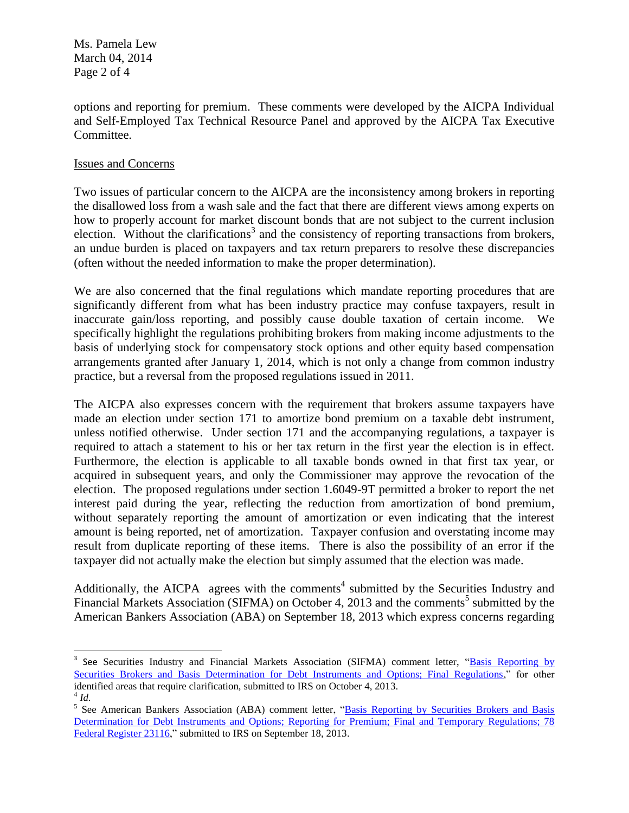Ms. Pamela Lew March 04, 2014 Page 2 of 4

options and reporting for premium. These comments were developed by the AICPA Individual and Self-Employed Tax Technical Resource Panel and approved by the AICPA Tax Executive Committee.

## Issues and Concerns

 $\overline{\phantom{a}}$ 

Two issues of particular concern to the AICPA are the inconsistency among brokers in reporting the disallowed loss from a wash sale and the fact that there are different views among experts on how to properly account for market discount bonds that are not subject to the current inclusion election. Without the clarifications<sup>3</sup> and the consistency of reporting transactions from brokers, an undue burden is placed on taxpayers and tax return preparers to resolve these discrepancies (often without the needed information to make the proper determination).

We are also concerned that the final regulations which mandate reporting procedures that are significantly different from what has been industry practice may confuse taxpayers, result in inaccurate gain/loss reporting, and possibly cause double taxation of certain income. We specifically highlight the regulations prohibiting brokers from making income adjustments to the basis of underlying stock for compensatory stock options and other equity based compensation arrangements granted after January 1, 2014, which is not only a change from common industry practice, but a reversal from the proposed regulations issued in 2011.

The AICPA also expresses concern with the requirement that brokers assume taxpayers have made an election under section 171 to amortize bond premium on a taxable debt instrument, unless notified otherwise. Under section 171 and the accompanying regulations, a taxpayer is required to attach a statement to his or her tax return in the first year the election is in effect. Furthermore, the election is applicable to all taxable bonds owned in that first tax year, or acquired in subsequent years, and only the Commissioner may approve the revocation of the election. The proposed regulations under section 1.6049-9T permitted a broker to report the net interest paid during the year, reflecting the reduction from amortization of bond premium, without separately reporting the amount of amortization or even indicating that the interest amount is being reported, net of amortization. Taxpayer confusion and overstating income may result from duplicate reporting of these items. There is also the possibility of an error if the taxpayer did not actually make the election but simply assumed that the election was made.

Additionally, the AICPA agrees with the comments<sup>4</sup> submitted by the Securities Industry and Financial Markets Association (SIFMA) on October 4, 2013 and the comments<sup>5</sup> submitted by the American Bankers Association (ABA) on September 18, 2013 which express concerns regarding

<sup>&</sup>lt;sup>3</sup> See Securities Industry and Financial Markets Association (SIFMA) comment letter, "Basis Reporting by [Securities Brokers and Basis Determination for Debt Instruments and Options; Final Regulations,"](http://www.sifma.org/comment-letters/2013/sifma-submits-comments-to-the-irs-on-cost-basis-reporting-and-basis-determination/) for other identified areas that require clarification, submitted to IRS on October 4, 2013. 4 *Id.*

<sup>&</sup>lt;sup>5</sup> See American Bankers Association (ABA) comment letter, "Basis Reporting by Securities Brokers and Basis [Determination for Debt Instruments and Options; Reporting for Premium; Final and Temporary Regulations; 78](http://www.aba.com/Advocacy/commentletters/Documents/09182013ABALettertoIRSReCostBasis.pdf)  [Federal Register 23116,"](http://www.aba.com/Advocacy/commentletters/Documents/09182013ABALettertoIRSReCostBasis.pdf) submitted to IRS on September 18, 2013.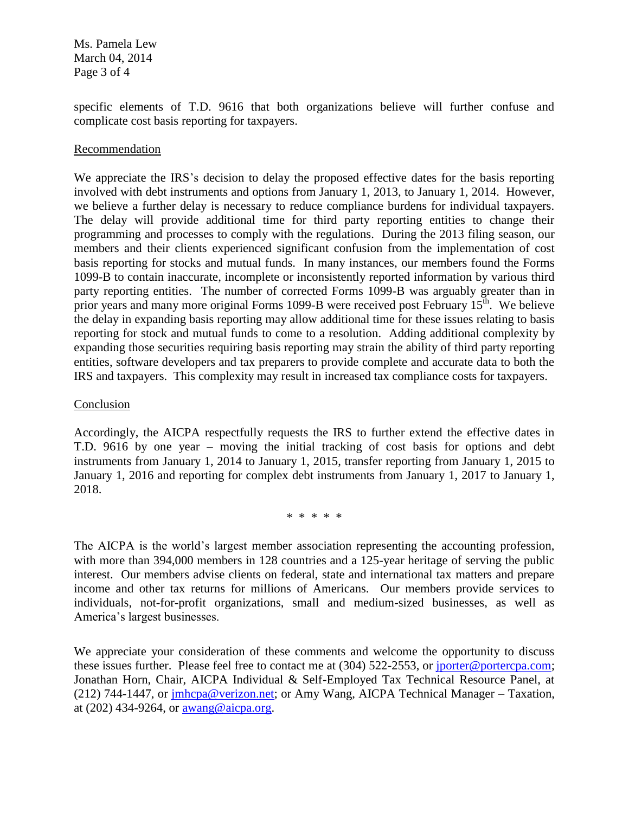Ms. Pamela Lew March 04, 2014 Page 3 of 4

specific elements of T.D. 9616 that both organizations believe will further confuse and complicate cost basis reporting for taxpayers.

## Recommendation

We appreciate the IRS's decision to delay the proposed effective dates for the basis reporting involved with debt instruments and options from January 1, 2013, to January 1, 2014. However, we believe a further delay is necessary to reduce compliance burdens for individual taxpayers. The delay will provide additional time for third party reporting entities to change their programming and processes to comply with the regulations. During the 2013 filing season, our members and their clients experienced significant confusion from the implementation of cost basis reporting for stocks and mutual funds. In many instances, our members found the Forms 1099-B to contain inaccurate, incomplete or inconsistently reported information by various third party reporting entities. The number of corrected Forms 1099-B was arguably greater than in prior years and many more original Forms 1099-B were received post February 15<sup>th</sup>. We believe the delay in expanding basis reporting may allow additional time for these issues relating to basis reporting for stock and mutual funds to come to a resolution. Adding additional complexity by expanding those securities requiring basis reporting may strain the ability of third party reporting entities, software developers and tax preparers to provide complete and accurate data to both the IRS and taxpayers. This complexity may result in increased tax compliance costs for taxpayers.

## Conclusion

Accordingly, the AICPA respectfully requests the IRS to further extend the effective dates in T.D. 9616 by one year – moving the initial tracking of cost basis for options and debt instruments from January 1, 2014 to January 1, 2015, transfer reporting from January 1, 2015 to January 1, 2016 and reporting for complex debt instruments from January 1, 2017 to January 1, 2018.

\* \* \* \* \*

The AICPA is the world's largest member association representing the accounting profession, with more than 394,000 members in 128 countries and a 125-year heritage of serving the public interest. Our members advise clients on federal, state and international tax matters and prepare income and other tax returns for millions of Americans. Our members provide services to individuals, not-for-profit organizations, small and medium-sized businesses, as well as America's largest businesses.

We appreciate your consideration of these comments and welcome the opportunity to discuss these issues further. Please feel free to contact me at (304) 522-2553, or [jporter@portercpa.com;](mailto:jporter@portercpa.com) Jonathan Horn, Chair, AICPA Individual & Self-Employed Tax Technical Resource Panel, at (212) 744-1447, or [jmhcpa@verizon.net;](mailto:jmhcpa@verizon.net) or Amy Wang, AICPA Technical Manager – Taxation, at (202) 434-9264, or [awang@aicpa.org.](mailto:awang@aicpa.org)